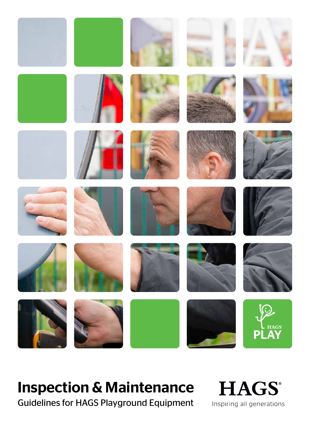

# Inspection & Maintenance

Guidelines for HAGS Playground Equipment

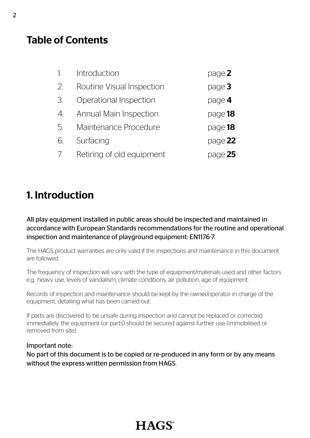## Table of Contents

| $\mathcal{I}$ . | Introduction                  | page 2    |
|-----------------|-------------------------------|-----------|
| 2.              | Routine Visual Inspection     | page $3$  |
| 3.              | Operational Inspection        | page 4    |
| 4.              | <b>Annual Main Inspection</b> | page $18$ |
| 5.              | Maintenance Procedure         | page 18   |
| 6.              | Surfacing                     | page $22$ |
| 7.              | Retiring of old equipment     | page $25$ |

## 1. Introduction

All play equipment installed in public areas should be inspected and maintained in accordance with European Standards recommendations for the routine and operational inspection and maintenance of playground equipment: EN1176-7.

The HAGS product warranties are only valid if the inspections and maintenance in this document are followed.

The frequency of inspection will vary with the type of equipment/materials used and other factors e.g.: heavy use, levels of vandalism, climate conditions, air pollution, age of equipment.

Records of inspection and maintenance should be kept by the owner/operator in charge of the equipment, detailing what has been carried out.

If parts are discovered to be unsafe during inspection and cannot be replaced or corrected immediately, the equipment (or parts) should be secured against further use (immobilised or removed from site).

### Important note:

No part of this document is to be copied or re-produced in any form or by any means without the express written permission from HAGS.

# **HAGS**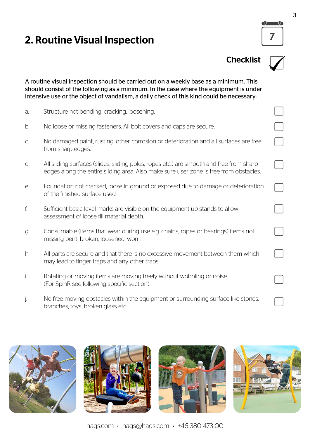## 2. Routine Visual Inspection















hags.com . hags@hags.com . +46 380 473 00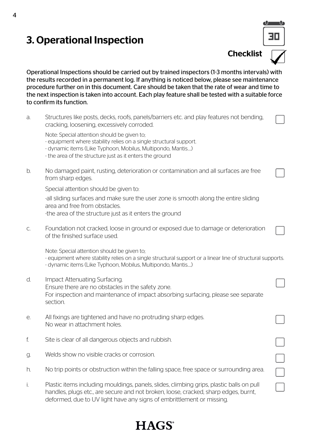## 3. Operational Inspection

30

**Checklist** 

Operational Inspections should be carried out by trained inspectors (1-3 months intervals) with the results recorded in a permanent log. If anything is noticed below, please see maintenance procedure further on in this document. Care should be taken that the rate of wear and time to the next inspection is taken into account. Each play feature shall be tested with a suitable force to confirm its function.

a. Structures like posts, decks, roofs, panels/barriers etc. and play features not bending, cracking, loosening, excessively corroded.

Note: Special attention should be given to;

- equipment where stability relies on a single structural support.
- dynamic items (Like Typhoon, Mobilus, Multipondo, Mantis….)
- the area of the structure just as it enters the ground
- b. No damaged paint, rusting, deterioration or contamination and all surfaces are free from sharp edges.

Special attention should be given to:

-all sliding surfaces and make sure the user zone is smooth along the entire sliding area and free from obstacles.

-the area of the structure just as it enters the ground

c. Foundation not cracked, loose in ground or exposed due to damage or deterioration of the finished surface used.

Note: Special attention should be given to;

- equipment where stability relies on a single structural support or a linear line of structural supports.
- dynamic items (Like Typhoon, Mobilus, Multipondo, Mantis….)
- d. Impact Attenuating Surfacing. Ensure there are no obstacles in the safety zone. For inspection and maintenance of impact absorbing surfacing, please see separate section.
- e. All fixings are tightened and have no protruding sharp edges. No wear in attachment holes.
- f. Site is clear of all dangerous objects and rubbish.
- g. Welds show no visible cracks or corrosion.
- h. No trip points or obstruction within the falling space, free space or surrounding area.
- i. Plastic items including mouldings, panels, slides, climbing grips, plastic balls on pull handles, plugs etc., are secure and not broken, loose, cracked, sharp edges, burnt, deformed, due to UV light have any signs of embrittlement or missing.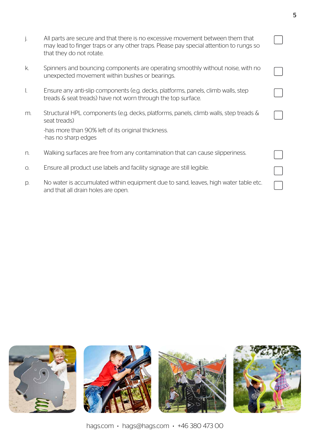|       | All parts are secure and that there is no excessive movement between them that<br>may lead to finger traps or any other traps. Please pay special attention to rungs so<br>that they do not rotate. |  |
|-------|-----------------------------------------------------------------------------------------------------------------------------------------------------------------------------------------------------|--|
| k.    | Spinners and bouncing components are operating smoothly without noise, with no<br>unexpected movement within bushes or bearings.                                                                    |  |
| I.    | Ensure any anti-slip components (e.g. decks, platforms, panels, climb walls, step<br>treads & seat treads) have not worn through the top surface.                                                   |  |
| m.    | Structural HPL components (e.g. decks, platforms, panels, climb walls, step treads &<br>seat treads)<br>-has more than 90% left of its original thickness.<br>-has no sharp edges                   |  |
| $n$ . | Walking surfaces are free from any contamination that can cause slipperiness.                                                                                                                       |  |
| О.    | Ensure all product use labels and facility signage are still legible.                                                                                                                               |  |
| p.    | No water is accumulated within equipment due to sand, leaves, high water table etc.<br>and that all drain holes are open.                                                                           |  |



hags.com . hags@hags.com . +46 380 473 00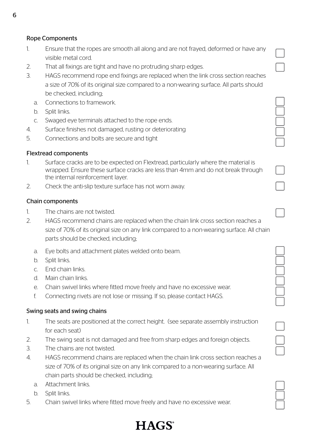### Rope Components

- 1. Ensure that the ropes are smooth all along and are not frayed, deformed or have any visible metal cord.
- 2. That all fixings are tight and have no protruding sharp edges.
- 3. HAGS recommend rope end fixings are replaced when the link cross section reaches a size of 70% of its original size compared to a non-wearing surface. All parts should be checked, including;
	- a. Connections to framework.
	- b. Split links.
	- c. Swaged eye terminals attached to the rope ends.
- 4. Surface finishes not damaged, rusting or deteriorating
- 5. Connections and bolts are secure and tight

### Flextread components

- 1. Surface cracks are to be expected on Flextread, particularly where the material is wrapped. Ensure these surface cracks are less than 4mm and do not break through the internal reinforcement layer.
- 2. Check the anti-slip texture surface has not worn away.

### Chain components

- 1. The chains are not twisted.
- 2. HAGS recommend chains are replaced when the chain link cross section reaches a size of 70% of its original size on any link compared to a non-wearing surface. All chain parts should be checked, including;
	- a. Eye bolts and attachment plates welded onto beam.
	- b. Split links.
	- c. End chain links.
	- d. Main chain links.
	- e. Chain swivel links where fitted move freely and have no excessive wear.
	- f. Connecting rivets are not lose or missing. If so, please contact HAGS.

### Swing seats and swing chains

- 1. The seats are positioned at the correct height. (see separate assembly instruction for each seat)
- 2. The swing seat is not damaged and free from sharp edges and foreign objects.
- 3. The chains are not twisted.
- 4. HAGS recommend chains are replaced when the chain link cross section reaches a size of 70% of its original size on any link compared to a non-wearing surface. All chain parts should be checked, including;
	- a. Attachment links.
	- b. Split links.
- 5. Chain swivel links where fitted move freely and have no excessive wear.

| _ | - |
|---|---|
|   |   |
|   |   |
|   |   |

# **HAGS**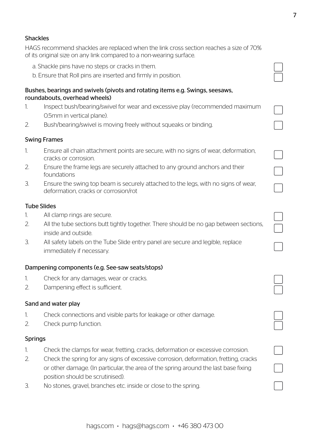### Shackles

HAGS recommend shackles are replaced when the link cross section reaches a size of 70% of its original size on any link compared to a non-wearing surface.

- a. Shackle pins have no steps or cracks in them.
- b. Ensure that Roll pins are inserted and firmly in position.

### Bushes, bearings and swivels (pivots and rotating items e.g. Swings, seesaws, roundabouts, overhead wheels)

- 1. Inspect bush/bearing/swivel for wear and excessive play (recommended maximum 0.5mm in vertical plane).
- 2. Bush/bearing/swivel is moving freely without squeaks or binding.

### Swing Frames

- 1. Ensure all chain attachment points are secure, with no signs of wear, deformation, cracks or corrosion.
- 2. Ensure the frame legs are securely attached to any ground anchors and their foundations
- 3. Ensure the swing top beam is securely attached to the legs, with no signs of wear, deformation, cracks or corrosion/rot

### Tube Slides

- 1. All clamp rings are secure.
- 2. All the tube sections butt tightly together. There should be no gap between sections, inside and outside.
- 3. All safety labels on the Tube Slide entry panel are secure and legible, replace immediately if necessary.

### Dampening components (e.g. See-saw seats/stops)

- 1. Check for any damages, wear or cracks.
- 2. Dampening effect is sufficient.

### Sand and water play

- 1. Check connections and visible parts for leakage or other damage.
- 2. Check pump function.

### **Springs**

- 1. Check the clamps for wear, fretting, cracks, deformation or excessive corrosion.
- 2. Check the spring for any signs of excessive corrosion, deformation, fretting, cracks or other damage. (In particular, the area of the spring around the last base fixing position should be scrutinised).
- 3. No stones, gravel, branches etc. inside or close to the spring.

 $\Box$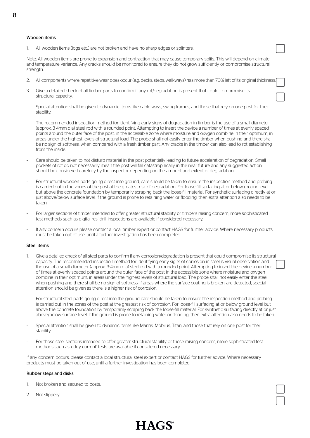All wooden items (logs etc.) are not broken and have no sharp edges or splinters.

Note: All wooden items are prone to expansion and contraction that may cause temporary splits. This will depend on climate and temperature variance. Any cracks should be monitored to ensure they do not grow sufficiently or compromise structural strength.

- 2. All components where repetitive wear does occur (e.g. decks, steps, walkways) has more than 70% left of its original thickness.
- 3. Give a detailed check of all timber parts to confirm if any rot/degradation is present that could compromise its structural capacity.
- Special attention shall be given to dynamic items like cable ways, swing frames, and those that rely on one post for their stability.
- The recommended inspection method for identifying early signs of degradation in timber is the use of a small diameter (approx. 3-4mm dia) steel rod with a rounded point. Attempting to insert the device a number of times at evenly spaced points around the outer face of the post, in the accessible zone where moisture and oxygen combine in their optimum, in areas under the highest levels of structural load. The probe shall not easily enter the timber when pushing and there shall be no sign of softness, when compared with a fresh timber part. Any cracks in the timber can also lead to rot establishing from the inside.
- Care should be taken to not disturb material in the post potentially leading to future acceleration of degradation. Small pockets of rot do not necessarily mean the post will fail catastrophically in the near future and any suggested action should be considered carefully by the inspector depending on the amount and extent of degradation.
- For structural wooden parts going direct into ground, care should be taken to ensure the inspection method and probing is carried out in the zones of the post at the greatest risk of degradation. For loose-fill surfacing at or below ground level but above the concrete foundation by temporarily scraping back the loose-fill material. For synthetic surfacing directly at or just above/below surface level. If the ground is prone to retaining water or flooding, then extra attention also needs to be taken.
- For larger sections of timber intended to offer greater structural stability or timbers raising concern, more sophisticated test methods such as digital resi-drill inspections are available if considered necessary.
- If any concern occurs please contact a local timber expert or contact HAGS for further advice. Where necessary products must be taken out of use, until a further investigation has been completed.

#### Steel items

- Give a detailed check of all steel parts to confirm if any corrosion/degradation is present that could compromise its structural capacity. The recommended inspection method for identifying early signs of corrosion in steel is visual observation and the use of a small diameter (approx. 3-4mm dia) steel rod with a rounded point. Attempting to insert the device a number of times at evenly spaced points around the outer face of the post in the accessible zone where moisture and oxygen combine in their optimum, in areas under the highest levels of structural load. The probe shall not easily enter the steel when pushing and there shall be no sign of softness. If areas where the surface coating is broken, are detected, special attention should be given as there is a higher risk of corrosion.
- For structural steel parts going direct into the ground care should be taken to ensure the inspection method and probing is carried out in the zones of the post at the greatest risk of corrosion. For loose-fill surfacing at or below ground level but above the concrete foundation by temporarily scraping back the loose-fill material. For synthetic surfacing directly at or just above/below surface level. If the ground is prone to retaining water or flooding, then extra attention also needs to be taken.
- Special attention shall be given to dynamic items like Mantis, Mobilus, Titan, and those that rely on one post for their stability.
- For those steel sections intended to offer greater structural stability or those raising concern, more sophisticated test methods such as 'eddy current' tests are available if considered necessary.

If any concern occurs, please contact a local structural steel expert or contact HAGS for further advice. Where necessary products must be taken out of use, until a further investigation has been completed.

#### Rubber steps and disks

- 1. Not broken and secured to posts.
- 2. Not slippery.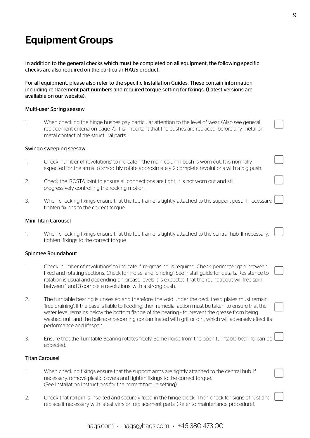## Equipment Groups

In addition to the general checks which must be completed on all equipment, the following specific checks are also required on the particular HAGS product.

For all equipment, please also refer to the specific Installation Guides. These contain information including replacement part numbers and required torque setting for fixings. (Latest versions are available on our website).

#### Multi-user Spring seesaw

1. When checking the hinge bushes pay particular attention to the level of wear. (Also see general replacement criteria on page 7). It is important that the bushes are replaced, before any metal on metal contact of the structural parts.

#### Swingo sweeping seesaw

- 1. Check 'number of revolutions' to indicate if the main column bush is worn out. It is normally expected for the arms to smoothly rotate approximately 2 complete revolutions with a big push.
- 2. Check the 'ROSTA' joint to ensure all connections are tight, it is not worn out and still progressively controlling the rocking motion.
- 3. When checking fixings ensure that the top frame is tightly attached to the support post. If necessary, tighten fixings to the correct torque.

#### Mini Titan Carousel

1. When checking fixings ensure that the top frame is tightly attached to the central hub. If necessary, tighten fixings to the correct torque

#### Spinmee Roundabout

- 1. Check 'number of revolutions' to indicate if 're-greasing' is required. Check 'perimeter gap' between fixed and rotating sections. Check for 'noise' and 'binding'. See install guide for details. Resistence to rotation is usual and depending on grease levels it is expected that the roundabout will free-spin between 1 and 3 complete revolutions, with a strong push.
- 2. The turntable bearing is unsealed and therefore, the void under the deck tread plates must remain 'free-draining'. If the base is liable to flooding, then remedial action must be taken, to ensure that the water level remains below the bottom flange of the bearing - to prevent the grease from being washed out and the ball-race becoming contaminated with grit or dirt, which will adversely affect its performance and lifespan.
- 3. Ensure that the Turntable Bearing rotates freely. Some noise from the open turntable bearing can be expected.

#### Titan Carousel

- 1. When checking fixings ensure that the support arms are tightly attached to the central hub. If necessary, remove plastic covers and tighten fixings to the correct torque. (See Installation Instructions for the correct torque setting).
- 2. Check that roll pin is inserted and securely fixed in the hinge block. Then check for signs of rust and replace if necessary with latest version replacement parts. (Refer to maintenance procedure).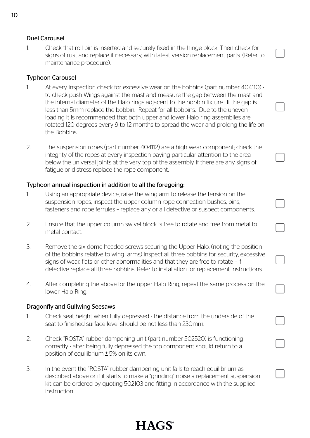### Duel Carousel

1. Check that roll pin is inserted and securely fixed in the hinge block. Then check for signs of rust and replace if necessary, with latest version replacement parts. (Refer to maintenance procedure).

### Typhoon Carousel

- 1. At every inspection check for excessive wear on the bobbins (part number 404110) to check push Wings against the mast and measure the gap between the mast and the internal diameter of the Halo rings adjacent to the bobbin fixture. If the gap is less than 5mm replace the bobbin. Repeat for all bobbins. Due to the uneven loading it is recommended that both upper and lower Halo ring assemblies are rotated 120 degrees every 9 to 12 months to spread the wear and prolong the life on the Bobbins.
- 2. The suspension ropes (part number 404112) are a high wear component; check the integrity of the ropes at every inspection paying particular attention to the area below the universal joints at the very top of the assembly, if there are any signs of fatigue or distress replace the rope component.

### Typhoon annual inspection in addition to all the foregoing:

- 1. Using an appropriate device, raise the wing arm to release the tension on the suspension ropes, inspect the upper column rope connection bushes, pins, fasteners and rope ferrules – replace any or all defective or suspect components.
- 2. Ensure that the upper column swivel block is free to rotate and free from metal to metal contact.
- 3. Remove the six dome headed screws securing the Upper Halo, (noting the position of the bobbins relative to wing arms) inspect all three bobbins for security, excessive signs of wear, flats or other abnormalities and that they are free to rotate – if defective replace all three bobbins. Refer to installation for replacement instructions.
- 4. After completing the above for the upper Halo Ring, repeat the same process on the lower Halo Ring.

### Dragonfly and Gullwing Seesaws

- 1. Check seat height when fully depressed the distance from the underside of the seat to finished surface level should be not less than 230mm.
- 2. Check "ROSTA" rubber dampening unit (part number 502520) is functioning correctly - after being fully depressed the top component should return to a position of equilibrium  $± 5%$  on its own.
- 3. In the event the "ROSTA" rubber dampening unit fails to reach equilibrium as described above or if it starts to make a "grinding" noise a replacement suspension kit can be ordered by quoting 502103 and fitting in accordance with the supplied instruction.

# **HAGS**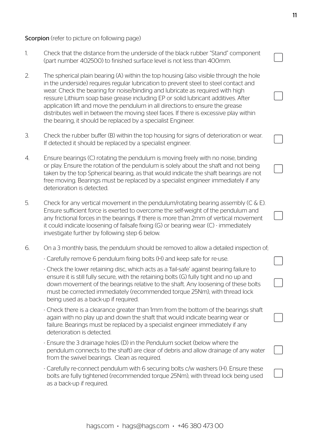### **Scorpion** (refer to picture on following page)

- 1. Check that the distance from the underside of the black rubber "Stand" component (part number 402500) to finished surface level is not less than 400mm.
- 2. The spherical plain bearing (A) within the top housing (also visible through the hole in the underside) requires regular lubrication to prevent steel to steel contact and wear. Check the bearing for noise/binding and lubricate as required with high ressure Lithium soap base grease including EP or solid lubricant additives. After application lift and move the pendulum in all directions to ensure the grease distributes well in between the moving steel faces. If there is excessive play within the bearing, it should be replaced by a specialist Engineer.
- 3. Check the rubber buffer (B) within the top housing for signs of deterioration or wear. If detected it should be replaced by a specialist engineer.
- 4. Ensure bearings (C) rotating the pendulum is moving freely with no noise, binding or play. Ensure the rotation of the pendulum is solely about the shaft and not being taken by the top Spherical bearing, as that would indicate the shaft bearings are not free moving. Bearings must be replaced by a specialist engineer immediately if any deterioration is detected.
- 5. Check for any vertical movement in the pendulum/rotating bearing assembly (C & E). Ensure sufficient force is exerted to overcome the self-weight of the pendulum and any frictional forces in the bearings. If there is more than 2mm of vertical movement it could indicate loosening of failsafe fixing (G) or bearing wear (C) - immediately investigate further by following step 6 below.
- 6. On a 3 monthly basis, the pendulum should be removed to allow a detailed inspection of;
	- Carefully remove 6 pendulum fixing bolts (H) and keep safe for re-use.
	- Check the lower retaining disc, which acts as a 'fail-safe' against bearing failure to ensure it is still fully secure, with the retaining bolts (G) fully tight and no up and down movement of the bearings relative to the shaft. Any loosening of these bolts must be corrected immediately (recommended torque 25Nm), with thread lock being used as a back-up if required.
	- Check there is a clearance greater than 1mm from the bottom of the bearings shaft again with no play up and down the shaft that would indicate bearing wear or failure. Bearings must be replaced by a specialist engineer immediately if any deterioration is detected.
	- Ensure the 3 drainage holes (D) in the Pendulum socket (below where the pendulum connects to the shaft) are clear of debris and allow drainage of any water from the swivel bearings. Clean as required.
	- Carefully re-connect pendulum with 6 securing bolts c/w washers (H). Ensure these bolts are fully tightened (recommended torque 25Nm), with thread lock being used as a back-up if required.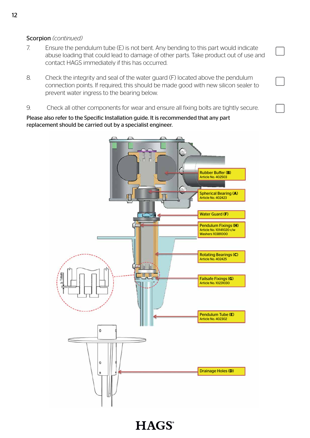### Scorpion *(continued)*

- 7. Ensure the pendulum tube (E) is not bent. Any bending to this part would indicate abuse loading that could lead to damage of other parts. Take product out of use and contact HAGS immediately if this has occurred.
- 8. Check the integrity and seal of the water guard (F) located above the pendulum connection points. If required, this should be made good with new silicon sealer to prevent water ingress to the bearing below.
- 9. Check all other components for wear and ensure all fixing bolts are tightly secure.

Please also refer to the Specific Installation guide. It is recommended that any part replacement should be carried out by a specialist engineer.



**HAGS**<sup>®</sup>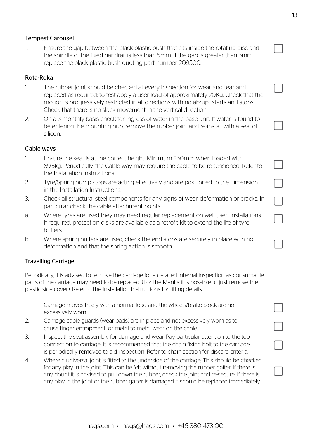### Tempest Carousel

1. Ensure the gap between the black plastic bush that sits inside the rotating disc and the spindle of the fixed handrail is less than 5mm. If the gap is greater than 5mm replace the black plastic bush quoting part number 209500.

### Rota-Roka

- 1. The rubber joint should be checked at every inspection for wear and tear and replaced as required: to test apply a user load of approximately 70Kg. Check that the motion is progressively restricted in all directions with no abrupt starts and stops. Check that there is no slack movement in the vertical direction.
- 2. On a 3 monthly basis check for ingress of water in the base unit. If water is found to be entering the mounting hub, remove the rubber joint and re-install with a seal of silicon.

### Cable ways

- 1. Ensure the seat is at the correct height. Minimum 350mm when loaded with 69.5kg. Periodically, the Cable way may require the cable to be re-tensioned. Refer to the Installation Instructions.
- 2. Tyre/Spring bump stops are acting effectively and are positioned to the dimension in the Installation Instructions.
- 3. Check all structural steel components for any signs of wear, deformation or cracks. In particular check the cable attachment points.
- a. Where tyres are used they may need regular replacement on well used installations. If required, protection disks are available as a retrofit kit to extend the life of tyre buffers.
- b. Where spring buffers are used, check the end stops are securely in place with no deformation and that the spring action is smooth.

### Travelling Carriage

Periodically, it is advised to remove the carriage for a detailed internal inspection as consumable parts of the carriage may need to be replaced. (For the Mantis it is possible to just remove the plastic side cover). Refer to the Installation Instructions for fitting details.

- 1. Carriage moves freely with a normal load and the wheels/brake block are not excessively worn.
- 2. Carriage cable guards (wear pads) are in place and not excessively worn as to cause finger entrapment, or metal to metal wear on the cable.
- 3. Inspect the seat assembly for damage and wear. Pay particular attention to the top connection to carriage. It is recommended that the chain fixing bolt to the carriage is periodically removed to aid inspection. Refer to chain section for discard criteria.
- 4. Where a universal joint is fitted to the underside of the carriage; This should be checked for any play in the joint. This can be felt without removing the rubber gaiter. If there is any doubt it is advised to pull down the rubber, check the joint and re-secure. If there is any play in the joint or the rubber gaiter is damaged it should be replaced immediately.

┐

 $\Box$ 

 $\Box$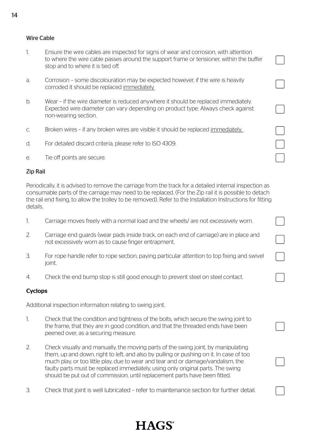### Wire Cable

- 1. Ensure the wire cables are inspected for signs of wear and corrosion, with attention to where the wire cable passes around the support frame or tensioner, within the buffer stop and to where it is tied off.
- a. Corrosion some discolouration may be expected however, if the wire is heavily corroded it should be replaced immediately.
- b. Wear if the wire diameter is reduced anywhere it should be replaced immediately. Expected wire diameter can vary depending on product type. Always check against non-wearing section.
- c. Broken wires if any broken wires are visible it should be replaced immediately.
- d. For detailed discard criteria, please refer to ISO 4309.
- e. Tie off points are secure.

### Zip Rail

Periodically, it is advised to remove the carriage from the track for a detailed internal inspection as consumable parts of the carriage may need to be replaced. (For the Zip rail it is possible to detach the rail end fixing, to allow the trolley to be removed). Refer to the Installation Instructions for fitting details.

- 1. Carriage moves freely with a normal load and the wheels/ are not excessively worn.
- 2. Carriage end guards (wear pads inside track, on each end of carriage) are in place and not excessively worn as to cause finger entrapment.
- 3. For rope handle refer to rope section, paying particular attention to top fixing and swivel joint.
- 4. Check the end bump stop is still good enough to prevent steel on steel contact.

### Cyclops

Additional inspection information relating to swing joint.

- 1. Check that the condition and tightness of the bolts, which secure the swing joint to the frame, that they are in good condition, and that the threaded ends have been peened over, as a securing measure.
- 2. Check visually and manually, the moving parts of the swing joint, by manipulating them, up and down, right to left, and also by pulling or pushing on it. In case of too much play, or too little play, due to wear and tear and or damage/vandalism, the faulty parts must be replaced immediately, using only original parts. The swing should be put out of commission, until replacement parts have been fitted.
- 3. Check that joint is well lubricated refer to maintenance section for further detail.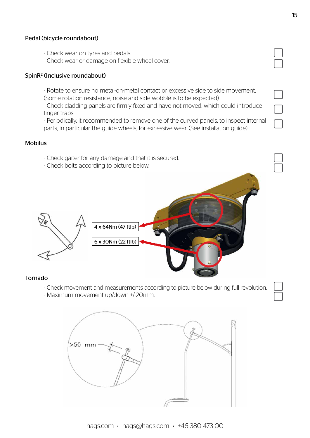### Pedal (bicycle roundabout)

- Check wear on tyres and pedals.
- Check wear or damage on flexible wheel cover.

### SpinR2 (Inclusive roundabout)

- Rotate to ensure no metal-on-metal contact or excessive side to side movement. (Some rotation resistance, noise and side wobble is to be expected)

- Check cladding panels are firmly fixed and have not moved, which could introduce finger traps.

- Periodically, it recommended to remove one of the curved panels, to inspect internal parts, in particular the guide wheels, for excessive wear. (See installation guide)

### Mobilus

- Check gaiter for any damage and that it is secured.
- Check bolts according to picture below.



### Tornado

- Check movement and measurements according to picture below during full revolution.
- Maximum movement up/down +/-20mm.

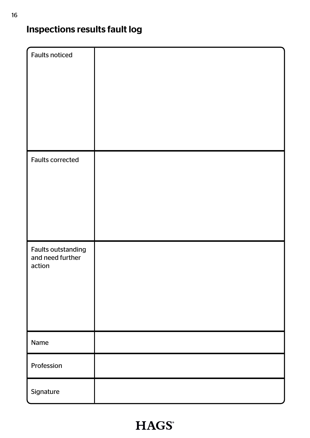# Inspections results fault log

| Faults noticed                                          |  |
|---------------------------------------------------------|--|
| <b>Faults corrected</b>                                 |  |
| <b>Faults outstanding</b><br>and need further<br>action |  |
| Name                                                    |  |
| Profession                                              |  |
| Signature                                               |  |

# **HAGS®**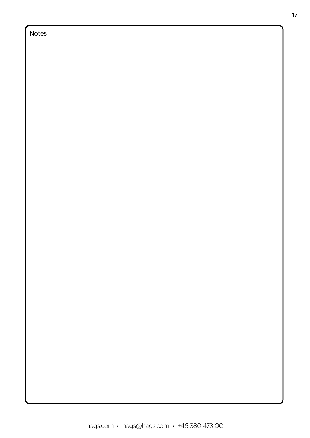## Notes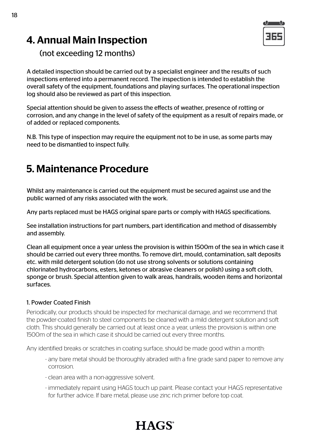## 4. Annual Main Inspection



(not exceeding 12 months)

A detailed inspection should be carried out by a specialist engineer and the results of such inspections entered into a permanent record. The inspection is intended to establish the overall safety of the equipment, foundations and playing surfaces. The operational inspection log should also be reviewed as part of this inspection.

Special attention should be given to assess the effects of weather, presence of rotting or corrosion, and any change in the level of safety of the equipment as a result of repairs made, or of added or replaced components.

N.B. This type of inspection may require the equipment not to be in use, as some parts may need to be dismantled to inspect fully.

## 5. Maintenance Procedure

Whilst any maintenance is carried out the equipment must be secured against use and the public warned of any risks associated with the work.

Any parts replaced must be HAGS original spare parts or comply with HAGS specifications.

See installation instructions for part numbers, part identification and method of disassembly and assembly.

Clean all equipment once a year unless the provision is within 1500m of the sea in which case it should be carried out every three months. To remove dirt, mould, contamination, salt deposits etc. with mild detergent solution (do not use strong solvents or solutions containing chlorinated hydrocarbons, esters, ketones or abrasive cleaners or polish) using a soft cloth, sponge or brush. Special attention given to walk areas, handrails, wooden items and horizontal surfaces.

### 1. Powder Coated Finish

Periodically, our products should be inspected for mechanical damage, and we recommend that the powder-coated finish to steel components be cleaned with a mild detergent solution and soft cloth. This should generally be carried out at least once a year, unless the provision is within one 1500m of the sea in which case it should be carried out every three months.

Any identified breaks or scratches in coating surface, should be made good within a month:

- any bare metal should be thoroughly abraded with a fine grade sand paper to remove any corrosion.
- clean area with a non-aggressive solvent.
- immediately repaint using HAGS touch up paint. Please contact your HAGS representative for further advice. If bare metal, please use zinc rich primer before top coat.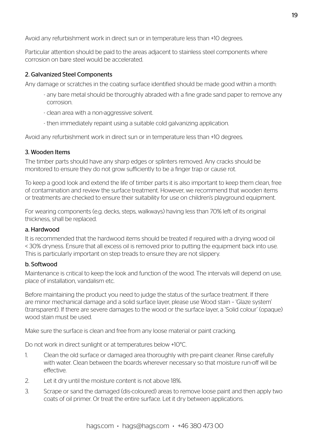Avoid any refurbishment work in direct sun or in temperature less than +10 degrees.

Particular attention should be paid to the areas adjacent to stainless steel components where corrosion on bare steel would be accelerated.

### 2. Galvanized Steel Components

Any damage or scratches in the coating surface identified should be made good within a month:

- any bare metal should be thoroughly abraded with a fine grade sand paper to remove any corrosion.
- clean area with a non-aggressive solvent.
- then immediately repaint using a suitable cold galvanizing application.

Avoid any refurbishment work in direct sun or in temperature less than +10 degrees.

### 3. Wooden Items

The timber parts should have any sharp edges or splinters removed. Any cracks should be monitored to ensure they do not grow sufficiently to be a finger trap or cause rot.

To keep a good look and extend the life of timber parts it is also important to keep them clean, free of contamination and review the surface treatment. However, we recommend that wooden items or treatments are checked to ensure their suitability for use on children's playground equipment.

For wearing components (e.g. decks, steps, walkways) having less than 70% left of its original thickness, shall be replaced.

### a. Hardwood

It is recommended that the hardwood items should be treated if required with a drying wood oil < 30% dryness. Ensure that all excess oil is removed prior to putting the equipment back into use. This is particularly important on step treads to ensure they are not slippery.

### b. Softwood

Maintenance is critical to keep the look and function of the wood. The intervals will depend on use, place of installation, vandalism etc.

Before maintaining the product you need to judge the status of the surface treatment. If there are minor mechanical damage and a solid surface layer, please use Wood stain – 'Glaze system' (transparent). If there are severe damages to the wood or the surface layer, a 'Solid colour' (opaque) wood stain must be used.

Make sure the surface is clean and free from any loose material or paint cracking.

Do not work in direct sunlight or at temperatures below +10°C.

- 1. Clean the old surface or damaged area thoroughly with pre-paint cleaner. Rinse carefully with water. Clean between the boards wherever necessary so that moisture run-off will be effective.
- 2. Let it dry until the moisture content is not above 18%.
- 3. Scrape or sand the damaged (dis-coloured) areas to remove loose paint and then apply two coats of oil primer. Or treat the entire surface. Let it dry between applications.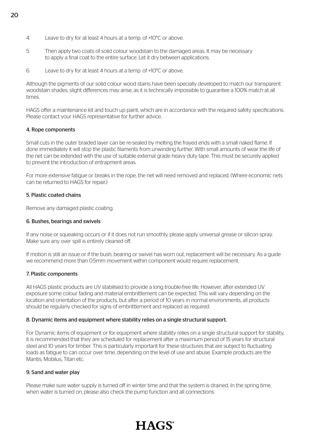- 4. Leave to dry for at least 4 hours at a temp. of +10°C or above.
- 5. Then apply two coats of solid colour woodstain to the damaged areas. It may be necessary to apply a final coat to the entire surface. Let it dry between applications.
- 6. Leave to dry for at least 4 hours at a temp. of +10°C or above.

Although the pigments of our solid colour wood stains have been specially developed to match our transparent woodstain shades, slight differences may arise, as it is technically impossible to guarantee a 100% match at all times.

HAGS offer a maintenance kit and touch up paint, which are in accordance with the required safety specifications. Please contact your HAGS representative for further advice.

### 4. Rope components

Small cuts in the outer braided layer can be re-sealed by melting the frayed ends with a small naked flame. If done immediately it will stop the plastic filaments from unwinding further. With small amounts of wear the life of the net can be extended with the use of suitable external grade heavy duty tape. This must be securely applied to prevent the introduction of entrapment areas.

For more extensive fatigue or breaks in the rope, the net will need removed and replaced. (Where economic nets can be returned to HAGS for repair.)

### 5. Plastic coated chains

Remove any damaged plastic coating.

#### 6. Bushes, bearings and swivels

If any noise or squeaking occurs or if it does not run smoothly, please apply universal grease or silicon spray. Make sure any over spill is entirely cleaned off.

If motion is still an issue or if the bush, bearing or swivel has worn out, replacement will be necessary. As a guide we recommend more than 0.5mm movement within component would require replacement.

#### 7. Plastic components

All HAGS plastic products are UV stabilised to provide a long trouble-free life. However, after extended UV exposure some colour fading and material embrittlement can be expected. This will vary depending on the location and orientation of the products, but after a period of 10 years in normal environments, all products should be regularly checked for signs of embrittlement and replaced as required.

#### 8. Dynamic items and equipment where stability relies on a single structural support.

For Dynamic items of equipment or for equipment where stability relies on a single structural support for stability, it is recommended that they are scheduled for replacement after a maximum period of 15 years for structural steel and 10 years for timber. This is particularly important for these structures that are subject to fluctuating loads as fatigue to can occur over time, depending on the level of use and abuse. Example products are the Mantis, Mobilus, Titan etc.

#### 9. Sand and water play

Please make sure water supply is turned off in winter time and that the system is drained. In the spring time, when water is turned on, please also check the pump function and all connections.

### 20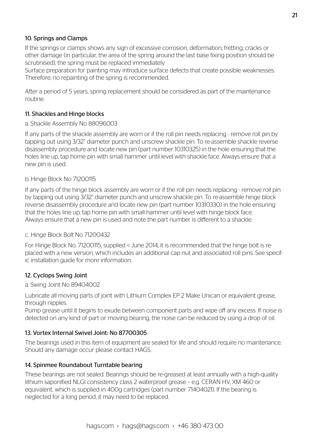### 10. Springs and Clamps

If the springs or clamps shows any sign of excessive corrosion, deformation, fretting, cracks or other damage (in particular, the area of the spring around the last base fixing position should be scrutinised), the spring must be replaced immediately.

Surface preparation for painting may introduce surface defects that create possible weaknesses. Therefore, no repainting of the spring is recommended.

After a period of 5 years, spring replacement should be considered as part of the maintenance routine.

### 11. Shackles and Hinge blocks

### a. Shackle Assembly No 88096003

If any parts of the shackle assembly are worn or if the roll pin needs replacing - remove roll pin by tapping out using 3/32" diameter punch and unscrew shackle pin. To re-assemble shackle reverse disassembly procedure and locate new pin (part number 10310325) in the hole ensuring that the holes line up, tap home pin with small hammer until level with shackle face. Always ensure that a new pin is used.

### b. Hinge Block No 71200115

If any parts of the hinge block assembly are worn or if the roll pin needs replacing - remove roll pin by tapping out using 3/32" diameter punch and unscrew shackle pin. To re-assemble hinge block reverse disassembly procedure and locate new pin (part number 10310330) in the hole ensuring that the holes line up, tap home pin with small hammer until level with hinge block face. Always ensure that a new pin is used and note the part number is different to a shackle.

### c. Hinge Block Bolt No 71200432

For Hinge Block No. 71200115, supplied < June 2014, it is recommended that the hinge bolt is replaced with a new version, which includes an additional cap nut and associated roll pins. See specific installation guide for more information.

### 12. Cyclops Swing Joint

a. Swing Joint No 89404002

Lubricate all moving parts of joint with Lithium Complex EP 2 Make Unican or equivalent grease, through nipples.

Pump grease until it begins to exude between component parts and wipe off any excess. If noise is detected on any kind of part or moving bearing, the noise can be reduced by using a drop of oil.

### 13. Vortex Internal Swivel Joint: No 87700305

The bearings used in this item of equipment are sealed for life and should require no maintenance. Should any damage occur please contact HAGS.

### 14. Spinmee Roundabout Turntable bearing

These bearings are not sealed. Bearings should be re-greased at least annually with a high-quality lithium saponified NLGI consistency class 2 waterproof grease – e.g. CERAN HV, XM 460 or equivalent, which is supplied in 400g cartridges (part number 71404021). If the bearing is neglected for a long period, it may need to be replaced.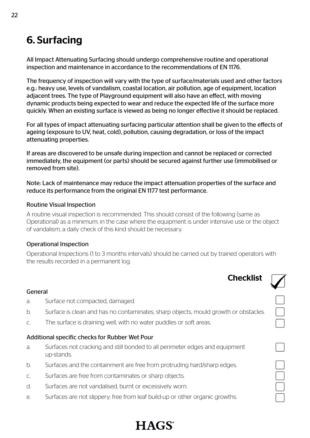## 6. Surfacing

All Impact Attenuating Surfacing should undergo comprehensive routine and operational inspection and maintenance in accordance to the recommendations of EN 1176.

The frequency of inspection will vary with the type of surface/materials used and other factors e.g.: heavy use, levels of vandalism, coastal location, air pollution, age of equipment, location adjacent trees. The type of Playground equipment will also have an effect, with moving dynamic products being expected to wear and reduce the expected life of the surface more quickly. When an existing surface is viewed as being no longer effective it should be replaced.

For all types of impact attenuating surfacing particular attention shall be given to the effects of ageing (exposure to UV, heat, cold), pollution, causing degradation, or loss of the impact attenuating properties.

If areas are discovered to be unsafe during inspection and cannot be replaced or corrected immediately, the equipment (or parts) should be secured against further use (immobilised or removed from site).

Note: Lack of maintenance may reduce the impact attenuation properties of the surface and reduce its performance from the original EN 1177 test performance.

### Routine Visual Inspection

A routine visual inspection is recommended. This should consist of the following (same as Operational) as a minimum, in the case where the equipment is under intensive use or the object of vandalism, a daily check of this kind should be necessary.

### Operational Inspection

Operational Inspections (1 to 3 months intervals) should be carried out by trained operators with the results recorded in a permanent log.



### General

- a. Surface not compacted, damaged.
- b. Surface is clean and has no contaminates, sharp objects, mould growth or obstacles.
- c. The surface is draining well, with no water puddles or soft areas.

### Additional specific checks for Rubber Wet Pour

- a. Surfaces not cracking and still bonded to all perimeter edges and equipment up-stands.
- b. Surfaces and the containment are free from protruding hard/sharp edges.
- c. Surfaces are free from contaminates or sharp objects.
- d. Surfaces are not vandalised, burnt or excessively worn.
- e. Surfaces are not slippery; free from leaf build-up or other organic growths.

# **HAGS**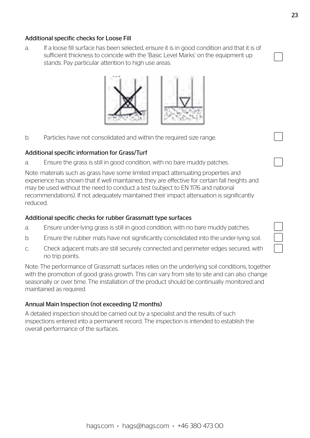## hags.com  $\cdot$  hags@hags.com  $\cdot$  +46 380 473 00

### Additional specific checks for Loose Fill

a. If a loose fill surface has been selected, ensure it is in good condition and that it is of sufficient thickness to coincide with the 'Basic Level Marks' on the equipment up stands. Pay particular attention to high use areas.

b. Particles have not consolidated and within the required size range.

### Additional specific information for Grass/Turf

a. Ensure the grass is still in good condition, with no bare muddy patches.

Note: materials such as grass have some limited impact attenuating properties and experience has shown that if well maintained, they are effective for certain fall heights and may be used without the need to conduct a test (subject to EN 1176 and national recommendations). If not adequately maintained their impact attenuation is significantly reduced.

### Additional specific checks for rubber Grassmatt type surfaces

- a. Ensure under-lying grass is still in good condition, with no bare muddy patches.
- b. Ensure the rubber mats have not significantly consolidated into the under-lying soil.
- c. Check adjacent mats are still securely connected and perimeter edges secured, with no trip points.

Note: The performance of Grassmatt surfaces relies on the underlying soil conditions, together with the promotion of good grass growth. This can vary from site to site and can also change seasonally or over time. The installation of the product should be continually monitored and maintained as required.

### Annual Main Inspection (not exceeding 12 months)

A detailed inspection should be carried out by a specialist and the results of such inspections entered into a permanent record. The inspection is intended to establish the overall performance of the surfaces.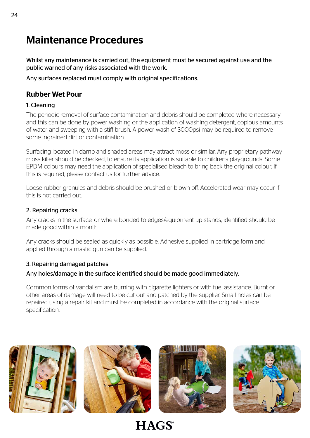## Maintenance Procedures

Whilst any maintenance is carried out, the equipment must be secured against use and the public warned of any risks associated with the work.

Any surfaces replaced must comply with original specifications.

## Rubber Wet Pour

### 1. Cleaning

The periodic removal of surface contamination and debris should be completed where necessary and this can be done by power washing or the application of washing detergent, copious amounts of water and sweeping with a stiff brush. A power wash of 3000psi may be required to remove some ingrained dirt or contamination.

Surfacing located in damp and shaded areas may attract moss or similar. Any proprietary pathway moss killer should be checked, to ensure its application is suitable to childrens playgrounds. Some EPDM colours may need the application of specialised bleach to bring back the original colour. If this is required, please contact us for further advice.

Loose rubber granules and debris should be brushed or blown off. Accelerated wear may occur if this is not carried out.

### 2. Repairing cracks

Any cracks in the surface, or where bonded to edges/equipment up-stands, identified should be made good within a month.

Any cracks should be sealed as quickly as possible. Adhesive supplied in cartridge form and applied through a mastic gun can be supplied.

### 3. Repairing damaged patches

### Any holes/damage in the surface identified should be made good immediately.

Common forms of vandalism are burning with cigarette lighters or with fuel assistance. Burnt or other areas of damage will need to be cut out and patched by the supplier. Small holes can be repaired using a repair kit and must be completed in accordance with the original surface specification.







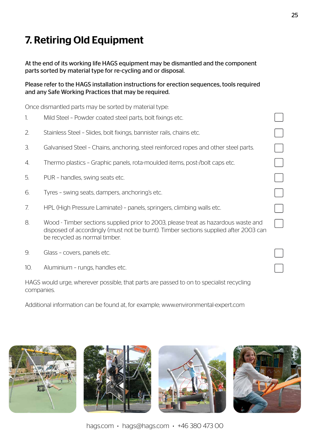# 7. Retiring Old Equipment

At the end of its working life HAGS equipment may be dismantled and the component parts sorted by material type for re-cycling and or disposal.

Please refer to the HAGS installation instructions for erection sequences, tools required and any Safe Working Practices that may be required.

Once dismantled parts may be sorted by material type:

- 1. Mild Steel Powder coated steel parts, bolt fixings etc.
- 2. Stainless Steel Slides, bolt fixings, bannister rails, chains etc.
- 3. Galvanised Steel Chains, anchoring, steel reinforced ropes and other steel parts.
- 4. Thermo plastics Graphic panels, rota-moulded items, post-/bolt caps etc.
- 5. PUR handles, swing seats etc.
- 6. Tyres swing seats, dampers, anchoring's etc.
- 7. HPL (High Pressure Laminate) panels, springers, climbing walls etc.
- 8. Wood Timber sections supplied prior to 2003, please treat as hazardous waste and disposed of accordingly (must not be burnt). Timber sections supplied after 2003 can be recycled as normal timber.
- 9. Glass covers, panels etc.
- 10. Aluminium rungs, handles etc.

HAGS would urge, wherever possible, that parts are passed to on to specialist recycling companies.

Additional information can be found at, for example; www.environmental-expert.com









 $\overline{\phantom{0}}$ 

hags.com  $\cdot$  hags@hags.com  $\cdot$  +46 380 473 00